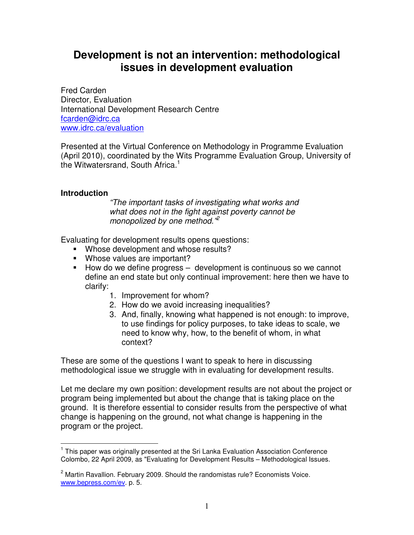# **Development is not an intervention: methodological issues in development evaluation**

Fred Carden Director, Evaluation International Development Research Centre fcarden@idrc.ca www.idrc.ca/evaluation

Presented at the Virtual Conference on Methodology in Programme Evaluation (April 2010), coordinated by the Wits Programme Evaluation Group, University of the Witwatersrand, South Africa. $1$ 

#### **Introduction**

"The important tasks of investigating what works and what does not in the fight against poverty cannot be monopolized by one method."<sup>2</sup>

Evaluating for development results opens questions:

- **Whose development and whose results?**
- **Whose values are important?**
- $\blacksquare$  How do we define progress  $-$  development is continuous so we cannot define an end state but only continual improvement: here then we have to clarify:
	- 1. Improvement for whom?
	- 2. How do we avoid increasing inequalities?
	- 3. And, finally, knowing what happened is not enough: to improve, to use findings for policy purposes, to take ideas to scale, we need to know why, how, to the benefit of whom, in what context?

These are some of the questions I want to speak to here in discussing methodological issue we struggle with in evaluating for development results.

Let me declare my own position: development results are not about the project or program being implemented but about the change that is taking place on the ground. It is therefore essential to consider results from the perspective of what change is happening on the ground, not what change is happening in the program or the project.

 $\overline{\phantom{a}}$ <sup>1</sup> This paper was originally presented at the Sri Lanka Evaluation Association Conference Colombo, 22 April 2009, as "Evaluating for Development Results – Methodological Issues.

<sup>&</sup>lt;sup>2</sup> Martin Ravallion. February 2009. Should the randomistas rule? Economists Voice. www.bepress.com/ev. p. 5.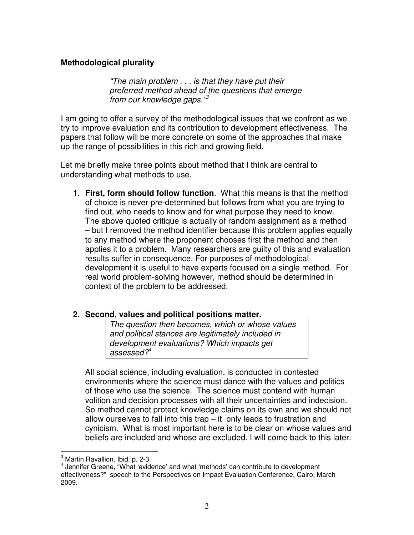### **Methodological plurality**

"The main problem . . . is that they have put their preferred method ahead of the questions that emerge from our knowledge gaps."<sup>3</sup>

I am going to offer a survey of the methodological issues that we confront as we try to improve evaluation and its contribution to development effectiveness. The papers that follow will be more concrete on some of the approaches that make up the range of possibilities in this rich and growing field.

Let me briefly make three points about method that I think are central to understanding what methods to use.

1. **First, form should follow function**. What this means is that the method of choice is never pre-determined but follows from what you are trying to find out, who needs to know and for what purpose they need to know. The above quoted critique is actually of random assignment as a method – but I removed the method identifier because this problem applies equally to any method where the proponent chooses first the method and then applies it to a problem. Many researchers are guilty of this and evaluation results suffer in consequence. For purposes of methodological development it is useful to have experts focused on a single method. For real world problem-solving however, method should be determined in context of the problem to be addressed.

#### **2. Second, values and political positions matter.**

The question then becomes, which or whose values and political stances are legitimately included in development evaluations? Which impacts get assessed $?$ <sup>4</sup>

All social science, including evaluation, is conducted in contested environments where the science must dance with the values and politics of those who use the science. The science must contend with human volition and decision processes with all their uncertainties and indecision. So method cannot protect knowledge claims on its own and we should not allow ourselves to fall into this trap – it only leads to frustration and cynicism. What is most important here is to be clear on whose values and beliefs are included and whose are excluded. I will come back to this later.

 3 Martin Ravallion. Ibid. p. 2-3.

<sup>&</sup>lt;sup>4</sup> Jennifer Greene, "What 'evidence' and what 'methods' can contribute to development effectiveness?" speech to the Perspectives on Impact Evaluation Conference, Cairo, March 2009.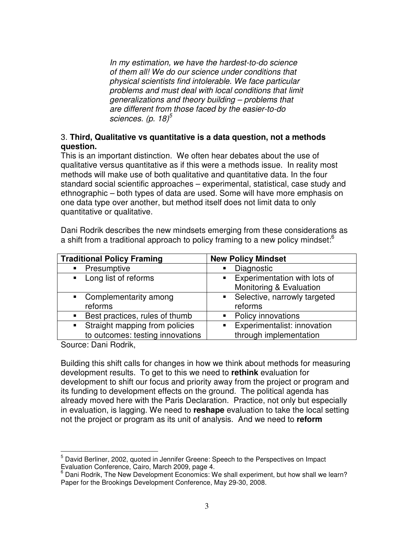In my estimation, we have the hardest-to-do science of them all! We do our science under conditions that physical scientists find intolerable. We face particular problems and must deal with local conditions that limit generalizations and theory building – problems that are different from those faced by the easier-to-do sciences. (p. 18) $5$ 

#### 3. **Third, Qualitative vs quantitative is a data question, not a methods question.**

This is an important distinction. We often hear debates about the use of qualitative versus quantitative as if this were a methods issue. In reality most methods will make use of both qualitative and quantitative data. In the four standard social scientific approaches – experimental, statistical, case study and ethnographic – both types of data are used. Some will have more emphasis on one data type over another, but method itself does not limit data to only quantitative or qualitative.

Dani Rodrik describes the new mindsets emerging from these considerations as a shift from a traditional approach to policy framing to a new policy mindset: $6$ 

| <b>Traditional Policy Framing</b>                             | <b>New Policy Mindset</b>                        |
|---------------------------------------------------------------|--------------------------------------------------|
| • Presumptive                                                 | Diagnostic<br>$\blacksquare$                     |
| • Long list of reforms                                        | Experimentation with lots of<br>$\blacksquare$ . |
|                                                               | Monitoring & Evaluation                          |
| • Complementarity among                                       | • Selective, narrowly targeted                   |
| reforms                                                       | reforms                                          |
| Best practices, rules of thumb<br>$\blacksquare$              | Policy innovations                               |
| Straight mapping from policies<br>$\mathcal{L}(\mathbf{R})$ . | Experimentalist: innovation<br>$\blacksquare$    |
| to outcomes: testing innovations                              | through implementation                           |

Source: Dani Rodrik,

Building this shift calls for changes in how we think about methods for measuring development results. To get to this we need to **rethink** evaluation for development to shift our focus and priority away from the project or program and its funding to development effects on the ground. The political agenda has already moved here with the Paris Declaration. Practice, not only but especially in evaluation, is lagging. We need to **reshape** evaluation to take the local setting not the project or program as its unit of analysis. And we need to **reform**

 5 David Berliner, 2002, quoted in Jennifer Greene: Speech to the Perspectives on Impact Evaluation Conference, Cairo, March 2009, page 4.

<sup>&</sup>lt;sup>6</sup> Dani Rodrik, The New Development Economics: We shall experiment, but how shall we learn? Paper for the Brookings Development Conference, May 29-30, 2008.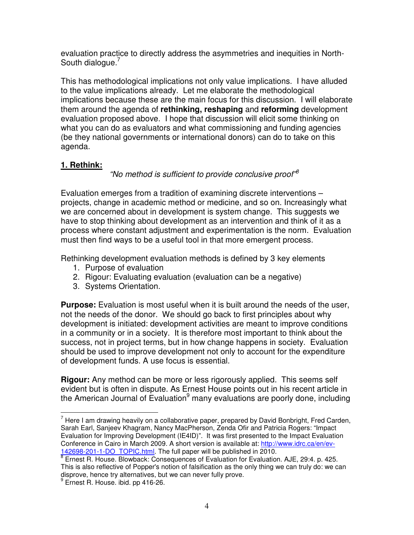evaluation practice to directly address the asymmetries and inequities in North-South dialogue.<sup>7</sup>

This has methodological implications not only value implications. I have alluded to the value implications already. Let me elaborate the methodological implications because these are the main focus for this discussion. I will elaborate them around the agenda of **rethinking, reshaping** and **reforming** development evaluation proposed above. I hope that discussion will elicit some thinking on what you can do as evaluators and what commissioning and funding agencies (be they national governments or international donors) can do to take on this agenda.

# **1. Rethink:**

"No method is sufficient to provide conclusive proof"<sup>8</sup>

Evaluation emerges from a tradition of examining discrete interventions – projects, change in academic method or medicine, and so on. Increasingly what we are concerned about in development is system change. This suggests we have to stop thinking about development as an intervention and think of it as a process where constant adjustment and experimentation is the norm. Evaluation must then find ways to be a useful tool in that more emergent process.

Rethinking development evaluation methods is defined by 3 key elements

- 1. Purpose of evaluation
- 2. Rigour: Evaluating evaluation (evaluation can be a negative)
- 3. Systems Orientation.

**Purpose:** Evaluation is most useful when it is built around the needs of the user, not the needs of the donor. We should go back to first principles about why development is initiated: development activities are meant to improve conditions in a community or in a society. It is therefore most important to think about the success, not in project terms, but in how change happens in society. Evaluation should be used to improve development not only to account for the expenditure of development funds. A use focus is essential.

**Rigour:** Any method can be more or less rigorously applied. This seems self evident but is often in dispute. As Ernest House points out in his recent article in the American Journal of Evaluation<sup>9</sup> many evaluations are poorly done, including

 $\overline{a}$  $<sup>7</sup>$  Here I am drawing heavily on a collaborative paper, prepared by David Bonbright, Fred Carden,</sup> Sarah Earl, Sanjeev Khagram, Nancy MacPherson, Zenda Ofir and Patricia Rogers: "Impact Evaluation for Improving Development (IE4ID)". It was first presented to the Impact Evaluation Conference in Cairo in March 2009. A short version is available at: http://www.idrc.ca/en/ev-142698-201-1-DO\_TOPIC.html. The full paper will be published in 2010.

<sup>&</sup>lt;sup>8</sup> Ernest R. House. Blowback: Consequences of Evaluation for Evaluation. AJE, 29:4. p. 425. This is also reflective of Popper's notion of falsification as the only thing we can truly do: we can disprove, hence try alternatives, but we can never fully prove. 9

<sup>&</sup>lt;sup>9</sup> Ernest R. House. ibid. pp 416-26.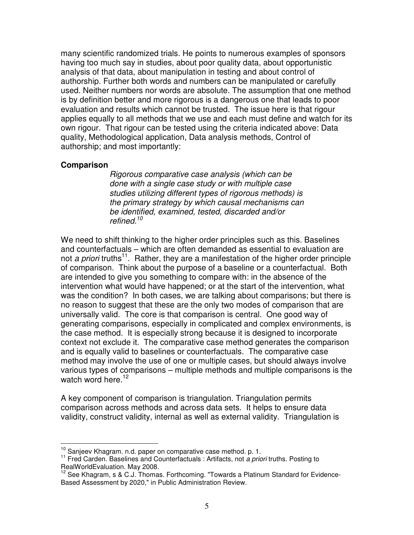many scientific randomized trials. He points to numerous examples of sponsors having too much say in studies, about poor quality data, about opportunistic analysis of that data, about manipulation in testing and about control of authorship. Further both words and numbers can be manipulated or carefully used. Neither numbers nor words are absolute. The assumption that one method is by definition better and more rigorous is a dangerous one that leads to poor evaluation and results which cannot be trusted. The issue here is that rigour applies equally to all methods that we use and each must define and watch for its own rigour. That rigour can be tested using the criteria indicated above: Data quality, Methodological application, Data analysis methods, Control of authorship; and most importantly:

#### **Comparison**

 $\overline{\phantom{a}}$ 

Rigorous comparative case analysis (which can be done with a single case study or with multiple case studies utilizing different types of rigorous methods) is the primary strategy by which causal mechanisms can be identified, examined, tested, discarded and/or refined. $10$ 

We need to shift thinking to the higher order principles such as this. Baselines and counterfactuals – which are often demanded as essential to evaluation are not a priori truths<sup>11</sup>. Rather, they are a manifestation of the higher order principle of comparison. Think about the purpose of a baseline or a counterfactual. Both are intended to give you something to compare with: in the absence of the intervention what would have happened; or at the start of the intervention, what was the condition? In both cases, we are talking about comparisons; but there is no reason to suggest that these are the only two modes of comparison that are universally valid. The core is that comparison is central. One good way of generating comparisons, especially in complicated and complex environments, is the case method. It is especially strong because it is designed to incorporate context not exclude it. The comparative case method generates the comparison and is equally valid to baselines or counterfactuals. The comparative case method may involve the use of one or multiple cases, but should always involve various types of comparisons – multiple methods and multiple comparisons is the watch word here.<sup>12</sup>

A key component of comparison is triangulation. Triangulation permits comparison across methods and across data sets. It helps to ensure data validity, construct validity, internal as well as external validity. Triangulation is

 $^{10}$  Sanjeev Khagram. n.d. paper on comparative case method. p. 1.

<sup>&</sup>lt;sup>11</sup> Fred Carden. Baselines and Counterfactuals : Artifacts, not a priori truths. Posting to RealWorldEvaluation. May 2008.

<sup>12</sup> See Khagram, s & C.J. Thomas. Forthcoming. "Towards a Platinum Standard for Evidence-Based Assessment by 2020," in Public Administration Review.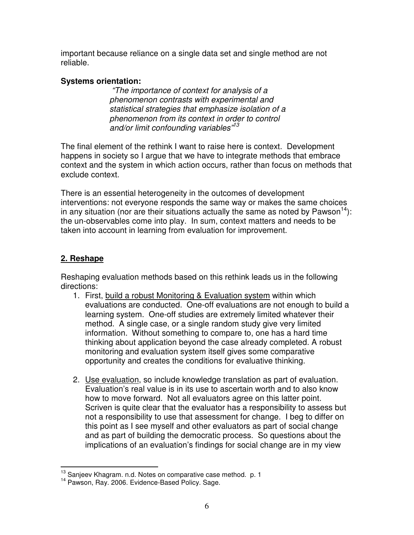important because reliance on a single data set and single method are not reliable.

## **Systems orientation:**

 "The importance of context for analysis of a phenomenon contrasts with experimental and statistical strategies that emphasize isolation of a phenomenon from its context in order to control and/or limit confounding variables"<sup>13</sup>

The final element of the rethink I want to raise here is context. Development happens in society so I argue that we have to integrate methods that embrace context and the system in which action occurs, rather than focus on methods that exclude context.

There is an essential heterogeneity in the outcomes of development interventions: not everyone responds the same way or makes the same choices in any situation (nor are their situations actually the same as noted by Pawson<sup>14</sup>): the un-observables come into play. In sum, context matters and needs to be taken into account in learning from evaluation for improvement.

# **2. Reshape**

Reshaping evaluation methods based on this rethink leads us in the following directions:

- 1. First, build a robust Monitoring & Evaluation system within which evaluations are conducted. One-off evaluations are not enough to build a learning system. One-off studies are extremely limited whatever their method. A single case, or a single random study give very limited information. Without something to compare to, one has a hard time thinking about application beyond the case already completed. A robust monitoring and evaluation system itself gives some comparative opportunity and creates the conditions for evaluative thinking.
- 2. Use evaluation, so include knowledge translation as part of evaluation. Evaluation's real value is in its use to ascertain worth and to also know how to move forward. Not all evaluators agree on this latter point. Scriven is quite clear that the evaluator has a responsibility to assess but not a responsibility to use that assessment for change. I beg to differ on this point as I see myself and other evaluators as part of social change and as part of building the democratic process. So questions about the implications of an evaluation's findings for social change are in my view

 $\overline{\phantom{a}}$  $^{13}$  Sanjeev Khagram. n.d. Notes on comparative case method. p. 1

<sup>14</sup> Pawson, Ray. 2006. Evidence-Based Policy. Sage.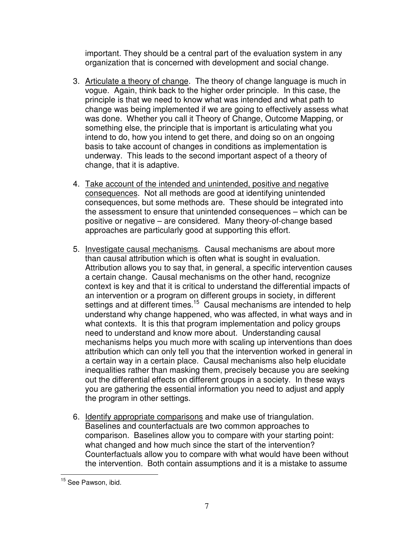important. They should be a central part of the evaluation system in any organization that is concerned with development and social change.

- 3. Articulate a theory of change. The theory of change language is much in vogue. Again, think back to the higher order principle. In this case, the principle is that we need to know what was intended and what path to change was being implemented if we are going to effectively assess what was done. Whether you call it Theory of Change, Outcome Mapping, or something else, the principle that is important is articulating what you intend to do, how you intend to get there, and doing so on an ongoing basis to take account of changes in conditions as implementation is underway. This leads to the second important aspect of a theory of change, that it is adaptive.
- 4. Take account of the intended and unintended, positive and negative consequences. Not all methods are good at identifying unintended consequences, but some methods are. These should be integrated into the assessment to ensure that unintended consequences – which can be positive or negative – are considered. Many theory-of-change based approaches are particularly good at supporting this effort.
- 5. Investigate causal mechanisms. Causal mechanisms are about more than causal attribution which is often what is sought in evaluation. Attribution allows you to say that, in general, a specific intervention causes a certain change. Causal mechanisms on the other hand, recognize context is key and that it is critical to understand the differential impacts of an intervention or a program on different groups in society, in different settings and at different times.<sup>15</sup> Causal mechanisms are intended to help understand why change happened, who was affected, in what ways and in what contexts. It is this that program implementation and policy groups need to understand and know more about. Understanding causal mechanisms helps you much more with scaling up interventions than does attribution which can only tell you that the intervention worked in general in a certain way in a certain place. Causal mechanisms also help elucidate inequalities rather than masking them, precisely because you are seeking out the differential effects on different groups in a society. In these ways you are gathering the essential information you need to adjust and apply the program in other settings.
- 6. Identify appropriate comparisons and make use of triangulation. Baselines and counterfactuals are two common approaches to comparison. Baselines allow you to compare with your starting point: what changed and how much since the start of the intervention? Counterfactuals allow you to compare with what would have been without the intervention. Both contain assumptions and it is a mistake to assume

 $\overline{a}$ <sup>15</sup> See Pawson, ibid.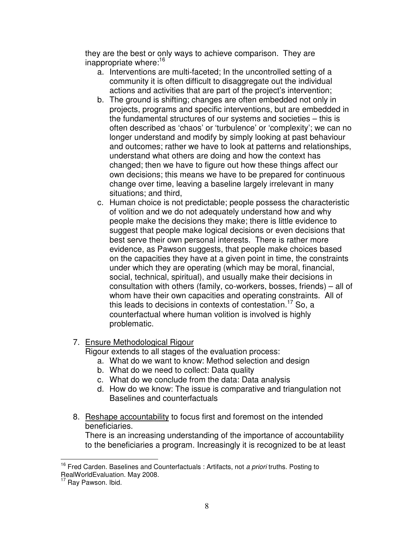they are the best or only ways to achieve comparison. They are inappropriate where:<sup>16</sup>

- a. Interventions are multi-faceted; In the uncontrolled setting of a community it is often difficult to disaggregate out the individual actions and activities that are part of the project's intervention;
- b. The ground is shifting; changes are often embedded not only in projects, programs and specific interventions, but are embedded in the fundamental structures of our systems and societies – this is often described as 'chaos' or 'turbulence' or 'complexity'; we can no longer understand and modify by simply looking at past behaviour and outcomes; rather we have to look at patterns and relationships, understand what others are doing and how the context has changed; then we have to figure out how these things affect our own decisions; this means we have to be prepared for continuous change over time, leaving a baseline largely irrelevant in many situations; and third,
- c. Human choice is not predictable; people possess the characteristic of volition and we do not adequately understand how and why people make the decisions they make; there is little evidence to suggest that people make logical decisions or even decisions that best serve their own personal interests. There is rather more evidence, as Pawson suggests, that people make choices based on the capacities they have at a given point in time, the constraints under which they are operating (which may be moral, financial, social, technical, spiritual), and usually make their decisions in consultation with others (family, co-workers, bosses, friends) – all of whom have their own capacities and operating constraints. All of this leads to decisions in contexts of contestation. <sup>17</sup> So, a counterfactual where human volition is involved is highly problematic.

### 7. Ensure Methodological Rigour

Rigour extends to all stages of the evaluation process:

- a. What do we want to know: Method selection and design
- b. What do we need to collect: Data quality
- c. What do we conclude from the data: Data analysis
- d. How do we know: The issue is comparative and triangulation not Baselines and counterfactuals
- 8. Reshape accountability to focus first and foremost on the intended beneficiaries.

There is an increasing understanding of the importance of accountability to the beneficiaries a program. Increasingly it is recognized to be at least

 $\overline{1}$ <sup>16</sup> Fred Carden. Baselines and Counterfactuals : Artifacts, not a priori truths. Posting to RealWorldEvaluation. May 2008.

Ray Pawson. Ibid.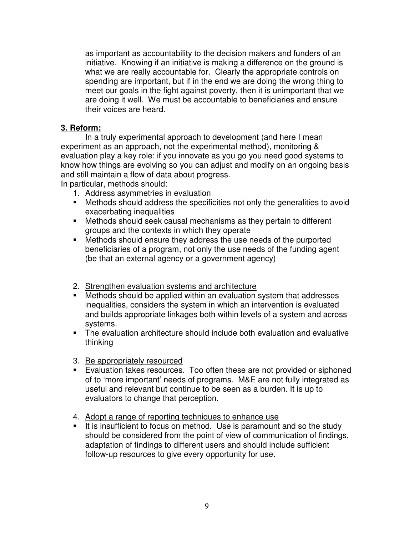as important as accountability to the decision makers and funders of an initiative. Knowing if an initiative is making a difference on the ground is what we are really accountable for. Clearly the appropriate controls on spending are important, but if in the end we are doing the wrong thing to meet our goals in the fight against poverty, then it is unimportant that we are doing it well. We must be accountable to beneficiaries and ensure their voices are heard.

### **3. Reform:**

 In a truly experimental approach to development (and here I mean experiment as an approach, not the experimental method), monitoring & evaluation play a key role: if you innovate as you go you need good systems to know how things are evolving so you can adjust and modify on an ongoing basis and still maintain a flow of data about progress.

In particular, methods should:

- 1. Address asymmetries in evaluation
- Methods should address the specificities not only the generalities to avoid exacerbating inequalities
- Methods should seek causal mechanisms as they pertain to different groups and the contexts in which they operate
- Methods should ensure they address the use needs of the purported beneficiaries of a program, not only the use needs of the funding agent (be that an external agency or a government agency)
- 2. Strengthen evaluation systems and architecture
- Methods should be applied within an evaluation system that addresses inequalities, considers the system in which an intervention is evaluated and builds appropriate linkages both within levels of a system and across systems.
- The evaluation architecture should include both evaluation and evaluative thinking
- 3. Be appropriately resourced
- Evaluation takes resources. Too often these are not provided or siphoned of to 'more important' needs of programs. M&E are not fully integrated as useful and relevant but continue to be seen as a burden. It is up to evaluators to change that perception.
- 4. Adopt a range of reporting techniques to enhance use
- It is insufficient to focus on method. Use is paramount and so the study should be considered from the point of view of communication of findings, adaptation of findings to different users and should include sufficient follow-up resources to give every opportunity for use.